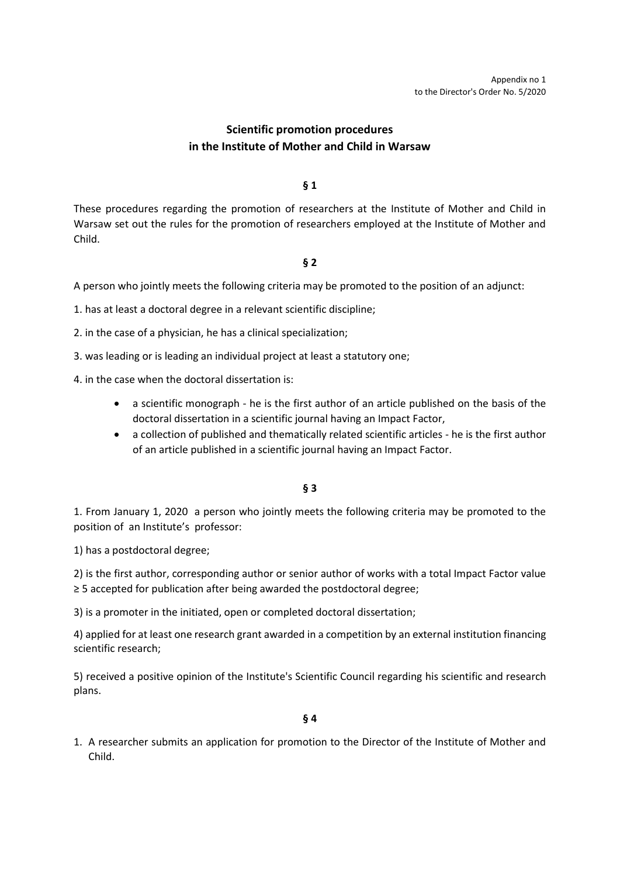# **Scientific promotion procedures in the Institute of Mother and Child in Warsaw**

## **§ 1**

These procedures regarding the promotion of researchers at the Institute of Mother and Child in Warsaw set out the rules for the promotion of researchers employed at the Institute of Mother and Child.

## **§ 2**

A person who jointly meets the following criteria may be promoted to the position of an adjunct:

1. has at least a doctoral degree in a relevant scientific discipline;

2. in the case of a physician, he has a clinical specialization;

3. was leading or is leading an individual project at least a statutory one;

- 4. in the case when the doctoral dissertation is:
	- a scientific monograph he is the first author of an article published on the basis of the doctoral dissertation in a scientific journal having an Impact Factor,
	- a collection of published and thematically related scientific articles he is the first author of an article published in a scientific journal having an Impact Factor.

#### **§ 3**

1. From January 1, 2020 a person who jointly meets the following criteria may be promoted to the position of an Institute's professor:

1) has a postdoctoral degree;

2) is the first author, corresponding author or senior author of works with a total Impact Factor value ≥ 5 accepted for publication after being awarded the postdoctoral degree;

3) is a promoter in the initiated, open or completed doctoral dissertation;

4) applied for at least one research grant awarded in a competition by an external institution financing scientific research;

5) received a positive opinion of the Institute's Scientific Council regarding his scientific and research plans.

#### **§ 4**

1. A researcher submits an application for promotion to the Director of the Institute of Mother and Child.